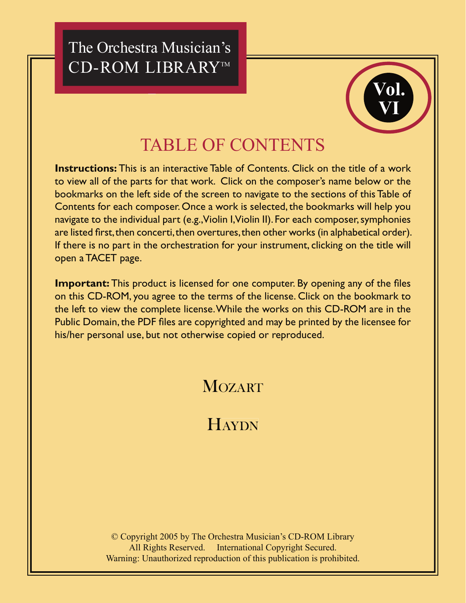The Orchestra Musician's CD-ROM LIBRARY™



# **TABLE OF CONTENTS**

**Instructions:** This is an interactive Table of Contents. Click on the title of a work to view all of the parts for that work. Click on the composer's name below or the bookmarks on the left side of the screen to navigate to the sections of this Table of Contents for each composer. Once a work is selected, the bookmarks will help you navigate to the individual part (e.g., Violin I, Violin II). For each composer, symphonies are listed first, then concerti, then overtures, then other works (in alphabetical order). If there is no part in the orchestration for your instrument, clicking on the title will open a TACET page.

**Important:** This product is licensed for one computer. By opening any of the files on this CD-ROM, you agree to the terms of the license. Click on the bookmark to the left to view the complete license. While the works on this CD-ROM are in the Public Domain, the PDF files are copyrighted and may be printed by the licensee for his/her personal use, but not otherwise copied or reproduced.

### **MOZART**

## HAYDN

© Copyright 2005 by The Orchestra Musician's CD-ROM Library All Rights Reserved. International Copyright Secured. Warning: Unauthorized reproduction of this publication is prohibited.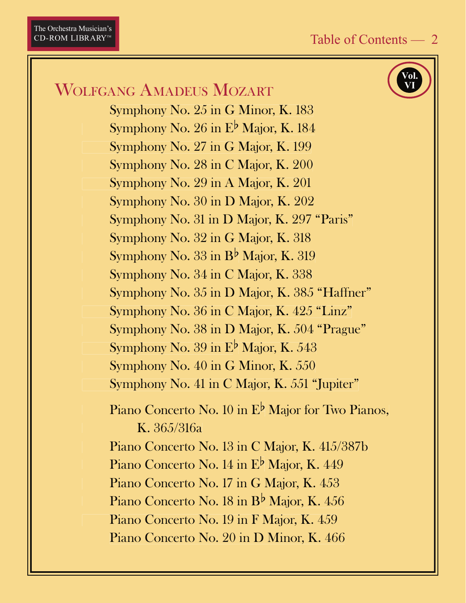Vol.

### <span id="page-1-0"></span>**WOLFGANG AMADEUS MOZART**

Symphony No. 25 in G Minor, K. 183 Symphony No. 26 in  $E^{\flat}$  Major, K. 184 Symphony No. 27 in G Major, K. 199 Symphony No. 28 in C Major, K. 200 Symphony No. 29 in A Major, K. 201 Symphony No. 30 in D Major, K. 202 Symphony No. 31 in D Major, K. 297 "Paris" Symphony No. 32 in G Major, K. 318 Symphony No.  $33$  in B<sup>b</sup> Major, K.  $319$ Symphony No. 34 in C Major, K. 338 Symphony No. 35 in D Major, K. 385 "Haffner" Symphony No. 36 in C Major, K. 425 "Linz" Symphony No. 38 in D Major, K. 504 "Prague" Symphony No. 39 in  $E^{\flat}$  Major, K. 543 Symphony No. 40 in G Minor, K. 550 Symphony No. 41 in C Major, K. 551 "Jupiter" Piano Concerto No. 10 in E<sup>b</sup> Major for Two Pianos,  $K. 365/316a$ Piano Concerto No. 13 in C Major, K. 415/387b Piano Concerto No. 14 in  $E^{\flat}$  Major, K. 449 Piano Concerto No. 17 in G Major, K. 453 Piano Concerto No. 18 in B<sup>b</sup> Major, K. 456 Piano Concerto No. 19 in F Major, K. 459 Piano Concerto No. 20 in D Minor, K. 466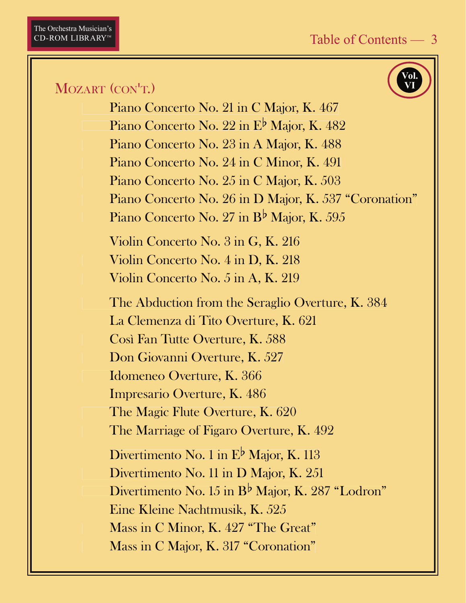Vol.

#### MOZART (CON'T.)

Piano Concerto No. 21 in C Major, K. 467 Piano Concerto No. 22 in  $E^{\flat}$  Major, K. 482 Piano Concerto No. 23 in A Major, K. 488 Piano Concerto No. 24 in C Minor, K. 491 Piano Concerto No. 25 in C Major, K. 503 Piano Concerto No. 26 in D Major, K. 537 "Coronation" Piano Concerto No. 27 in  $B^{\flat}$  Major, K. 595 Violin Concerto No. 3 in G, K. 216 Violin Concerto No. 4 in D, K. 218 Violin Concerto No. 5 in A, K. 219 The Abduction from the Seraglio Overture, K. 384 La Clemenza di Tito Overture, K. 621 Così Fan Tutte Overture, K. 588 Don Giovanni Overture, K. 527 Idomeneo Overture, K. 366 Impresario Overture, K. 486 The Magic Flute Overture, K. 620 The Marriage of Figaro Overture, K. 492 Divertimento No. 1 in  $E^{\flat}$  Major, K. 113 Divertimento No. 11 in D Major, K. 251 Divertimento No. 15 in  $B^{\flat}$  Major, K. 287 "Lodron" Eine Kleine Nachtmusik, K. 525 Mass in C Minor, K. 427 "The Great" Mass in C Major, K. 317 "Coronation"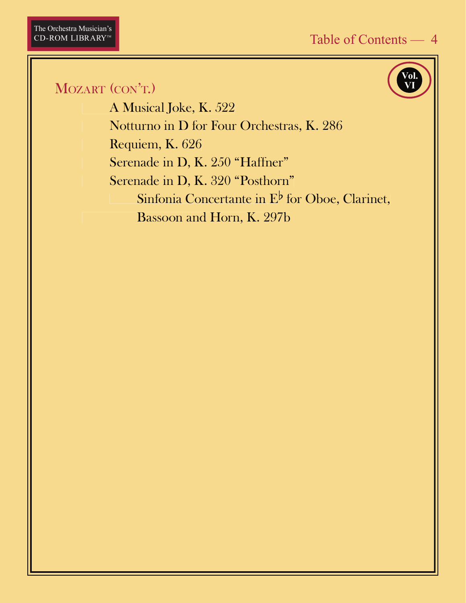#### MOZART (CON'T.)

A Musical Joke, K. 522 Notturno in D for Four Orchestras, K. 286 Requiem, K. 626 Serenade in D, K. 250 "Haffner" Serenade in D, K. 320 "Posthorn" Sinfonia Concertante in  $E^{\flat}$  for Oboe, Clarinet, Bassoon and Horn, K. 297b

Vol.